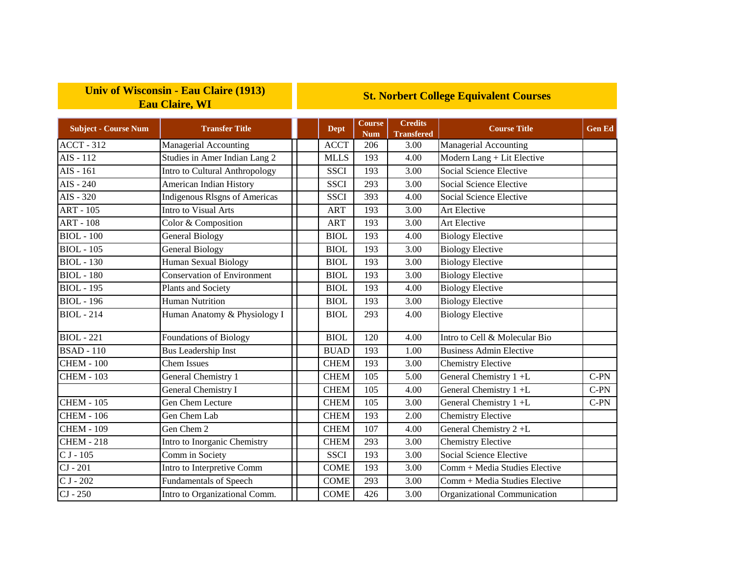## **Univ of Wisconsin - Eau Claire (1913) Eau Claire, WI**

## **St. Norbert College Equivalent Courses**

| <b>Subject - Course Num</b> | <b>Transfer Title</b>                | <b>Dept</b> | <b>Course</b><br><b>Num</b> | <b>Credits</b><br><b>Transfered</b> | <b>Course Title</b>            | <b>Gen Ed</b> |
|-----------------------------|--------------------------------------|-------------|-----------------------------|-------------------------------------|--------------------------------|---------------|
| $ACCT - 312$                | Managerial Accounting                | <b>ACCT</b> | 206                         | 3.00                                | Managerial Accounting          |               |
| $AIS - 112$                 | Studies in Amer Indian Lang 2        | <b>MLLS</b> | 193                         | 4.00                                | Modern Lang + Lit Elective     |               |
| $AIS - 161$                 | Intro to Cultural Anthropology       | <b>SSCI</b> | 193                         | 3.00                                | Social Science Elective        |               |
| $AIS - 240$                 | American Indian History              | <b>SSCI</b> | 293                         | 3.00                                | Social Science Elective        |               |
| $AIS - 320$                 | <b>Indigenous RIsgns of Americas</b> | <b>SSCI</b> | 393                         | 4.00                                | Social Science Elective        |               |
| <b>ART - 105</b>            | Intro to Visual Arts                 | <b>ART</b>  | 193                         | 3.00                                | Art Elective                   |               |
| <b>ART - 108</b>            | Color & Composition                  | <b>ART</b>  | 193                         | 3.00                                | <b>Art Elective</b>            |               |
| <b>BIOL</b> - 100           | <b>General Biology</b>               | <b>BIOL</b> | 193                         | 4.00                                | <b>Biology Elective</b>        |               |
| <b>BIOL</b> - 105           | <b>General Biology</b>               | <b>BIOL</b> | 193                         | 3.00                                | <b>Biology Elective</b>        |               |
| <b>BIOL</b> - 130           | Human Sexual Biology                 | <b>BIOL</b> | 193                         | 3.00                                | <b>Biology Elective</b>        |               |
| <b>BIOL</b> - 180           | <b>Conservation of Environment</b>   | <b>BIOL</b> | 193                         | 3.00                                | <b>Biology Elective</b>        |               |
| <b>BIOL</b> - 195           | Plants and Society                   | <b>BIOL</b> | 193                         | 4.00                                | <b>Biology Elective</b>        |               |
| <b>BIOL</b> - 196           | <b>Human Nutrition</b>               | <b>BIOL</b> | 193                         | 3.00                                | <b>Biology Elective</b>        |               |
| <b>BIOL</b> - 214           | Human Anatomy & Physiology I         | <b>BIOL</b> | 293                         | 4.00                                | <b>Biology Elective</b>        |               |
| <b>BIOL</b> - 221           | <b>Foundations of Biology</b>        | <b>BIOL</b> | 120                         | 4.00                                | Intro to Cell & Molecular Bio  |               |
| <b>BSAD</b> - 110           | <b>Bus Leadership Inst</b>           | <b>BUAD</b> | 193                         | 1.00                                | <b>Business Admin Elective</b> |               |
| <b>CHEM - 100</b>           | <b>Chem Issues</b>                   | <b>CHEM</b> | 193                         | 3.00                                | <b>Chemistry Elective</b>      |               |
| <b>CHEM - 103</b>           | General Chemistry 1                  | <b>CHEM</b> | 105                         | 5.00                                | General Chemistry 1 +L         | $C-PN$        |
|                             | General Chemistry I                  | <b>CHEM</b> | 105                         | 4.00                                | General Chemistry 1 +L         | $C-PN$        |
| <b>CHEM - 105</b>           | Gen Chem Lecture                     | <b>CHEM</b> | 105                         | 3.00                                | General Chemistry 1 +L         | $C-PN$        |
| <b>CHEM - 106</b>           | Gen Chem Lab                         | <b>CHEM</b> | 193                         | 2.00                                | <b>Chemistry Elective</b>      |               |
| <b>CHEM - 109</b>           | Gen Chem 2                           | <b>CHEM</b> | 107                         | 4.00                                | General Chemistry 2+L          |               |
| <b>CHEM - 218</b>           | Intro to Inorganic Chemistry         | <b>CHEM</b> | 293                         | 3.00                                | Chemistry Elective             |               |
| $CJ - 105$                  | Comm in Society                      | <b>SSCI</b> | 193                         | 3.00                                | Social Science Elective        |               |
| $CI - 201$                  | Intro to Interpretive Comm           | <b>COME</b> | 193                         | 3.00                                | Comm + Media Studies Elective  |               |
| $CJ - 202$                  | <b>Fundamentals of Speech</b>        | <b>COME</b> | 293                         | 3.00                                | Comm + Media Studies Elective  |               |
| $CI - 250$                  | Intro to Organizational Comm.        | <b>COME</b> | 426                         | 3.00                                | Organizational Communication   |               |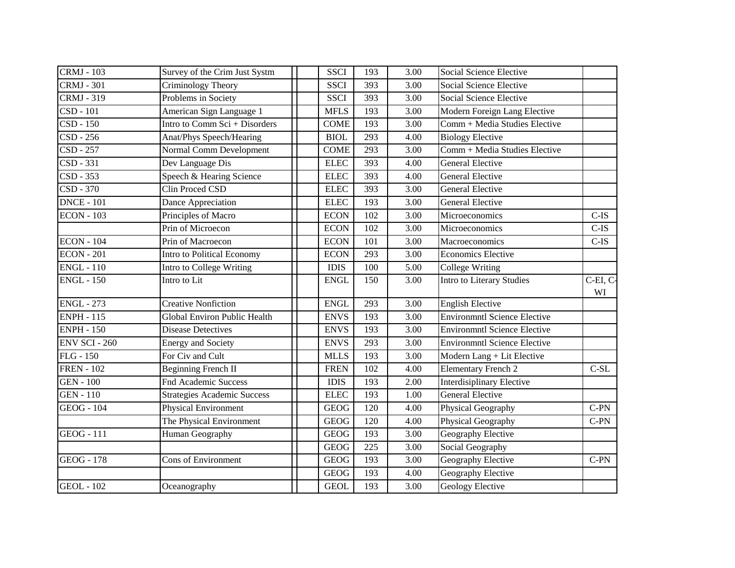| <b>CRMJ</b> - 103    | Survey of the Crim Just Systm      | <b>SSCI</b> | 193 | 3.00              | Social Science Elective             |                |
|----------------------|------------------------------------|-------------|-----|-------------------|-------------------------------------|----------------|
| <b>CRMJ - 301</b>    | Criminology Theory                 | <b>SSCI</b> | 393 | 3.00              | Social Science Elective             |                |
| <b>CRMJ - 319</b>    | Problems in Society                | <b>SSCI</b> | 393 | 3.00              | Social Science Elective             |                |
| $CSD - 101$          | American Sign Language 1           | <b>MFLS</b> | 193 | 3.00              | Modern Foreign Lang Elective        |                |
| CSD - 150            | Intro to Comm Sci + Disorders      | <b>COME</b> | 193 | 3.00              | Comm + Media Studies Elective       |                |
| $CSD - 256$          | Anat/Phys Speech/Hearing           | <b>BIOL</b> | 293 | 4.00              | <b>Biology Elective</b>             |                |
| CSD - 257            | Normal Comm Development            | <b>COME</b> | 293 | 3.00              | Comm + Media Studies Elective       |                |
| CSD - 331            | Dev Language Dis                   | <b>ELEC</b> | 393 | 4.00              | <b>General Elective</b>             |                |
| CSD - 353            | Speech & Hearing Science           | <b>ELEC</b> | 393 | 4.00              | <b>General Elective</b>             |                |
| CSD - 370            | Clin Proced CSD                    | <b>ELEC</b> | 393 | 3.00              | <b>General Elective</b>             |                |
| <b>DNCE - 101</b>    | Dance Appreciation                 | <b>ELEC</b> | 193 | 3.00              | <b>General Elective</b>             |                |
| <b>ECON - 103</b>    | Principles of Macro                | <b>ECON</b> | 102 | 3.00              | Microeconomics                      | $C-IS$         |
|                      | Prin of Microecon                  | <b>ECON</b> | 102 | $\overline{3.00}$ | Microeconomics                      | $C-IS$         |
| <b>ECON - 104</b>    | Prin of Macroecon                  | <b>ECON</b> | 101 | 3.00              | Macroeconomics                      | $C$ -IS        |
| <b>ECON - 201</b>    | Intro to Political Economy         | <b>ECON</b> | 293 | 3.00              | <b>Economics Elective</b>           |                |
| <b>ENGL - 110</b>    | Intro to College Writing           | <b>IDIS</b> | 100 | 5.00              | College Writing                     |                |
| <b>ENGL - 150</b>    | Intro to Lit                       | <b>ENGL</b> | 150 | 3.00              | <b>Intro to Literary Studies</b>    | C-EI, C-<br>WI |
| <b>ENGL - 273</b>    | <b>Creative Nonfiction</b>         | <b>ENGL</b> | 293 | 3.00              | <b>English Elective</b>             |                |
| <b>ENPH - 115</b>    | Global Environ Public Health       | <b>ENVS</b> | 193 | 3.00              | <b>Environmntl Science Elective</b> |                |
| <b>ENPH - 150</b>    | <b>Disease Detectives</b>          | <b>ENVS</b> | 193 | 3.00              | <b>Environmntl Science Elective</b> |                |
| <b>ENV SCI - 260</b> | <b>Energy and Society</b>          | <b>ENVS</b> | 293 | 3.00              | <b>Environmntl Science Elective</b> |                |
| <b>FLG</b> - 150     | For Civ and Cult                   | <b>MLLS</b> | 193 | 3.00              | Modern Lang + Lit Elective          |                |
| <b>FREN</b> - 102    | <b>Beginning French II</b>         | <b>FREN</b> | 102 | 4.00              | Elementary French 2                 | $\mbox{C-SL}$  |
| <b>GEN - 100</b>     | <b>Fnd Academic Success</b>        | <b>IDIS</b> | 193 | 2.00              | Interdisiplinary Elective           |                |
| <b>GEN - 110</b>     | <b>Strategies Academic Success</b> | <b>ELEC</b> | 193 | 1.00              | <b>General Elective</b>             |                |
| <b>GEOG</b> - 104    | Physical Environment               | <b>GEOG</b> | 120 | 4.00              | Physical Geography                  | $C-PN$         |
|                      | The Physical Environment           | <b>GEOG</b> | 120 | 4.00              | Physical Geography                  | $C-PN$         |
| <b>GEOG</b> - 111    | Human Geography                    | <b>GEOG</b> | 193 | 3.00              | Geography Elective                  |                |
|                      |                                    | <b>GEOG</b> | 225 | $\overline{3.00}$ | Social Geography                    |                |
| <b>GEOG - 178</b>    | <b>Cons of Environment</b>         | <b>GEOG</b> | 193 | 3.00              | Geography Elective                  | $C-PN$         |
|                      |                                    | <b>GEOG</b> | 193 | 4.00              | Geography Elective                  |                |
| <b>GEOL</b> - 102    | Oceanography                       | <b>GEOL</b> | 193 | 3.00              | Geology Elective                    |                |
|                      |                                    |             |     |                   |                                     |                |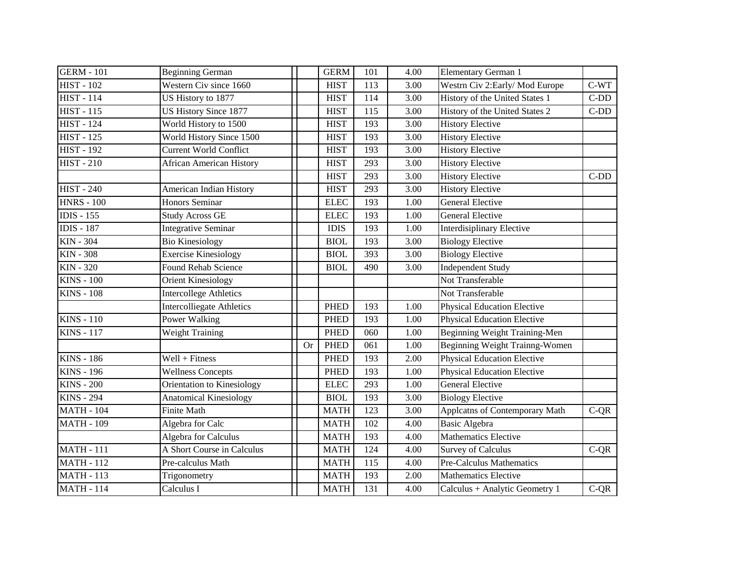| <b>GERM - 101</b> | <b>Beginning German</b>          |           | <b>GERM</b> | 101 | 4.00 | Elementary German 1                |        |
|-------------------|----------------------------------|-----------|-------------|-----|------|------------------------------------|--------|
| <b>HIST - 102</b> | Western Civ since 1660           |           | <b>HIST</b> | 113 | 3.00 | Westrn Civ 2: Early/Mod Europe     | $C-WT$ |
| <b>HIST - 114</b> | US History to 1877               |           | <b>HIST</b> | 114 | 3.00 | History of the United States 1     | $C-DD$ |
| <b>HIST - 115</b> | <b>US History Since 1877</b>     |           | <b>HIST</b> | 115 | 3.00 | History of the United States 2     | $C-DD$ |
| <b>HIST - 124</b> | World History to 1500            |           | <b>HIST</b> | 193 | 3.00 | <b>History Elective</b>            |        |
| <b>HIST - 125</b> | World History Since 1500         |           | <b>HIST</b> | 193 | 3.00 | <b>History Elective</b>            |        |
| <b>HIST - 192</b> | <b>Current World Conflict</b>    |           | <b>HIST</b> | 193 | 3.00 | <b>History Elective</b>            |        |
| <b>HIST - 210</b> | <b>African American History</b>  |           | <b>HIST</b> | 293 | 3.00 | <b>History Elective</b>            |        |
|                   |                                  |           | <b>HIST</b> | 293 | 3.00 | <b>History Elective</b>            | $C-DD$ |
| <b>HIST - 240</b> | American Indian History          |           | <b>HIST</b> | 293 | 3.00 | <b>History Elective</b>            |        |
| <b>HNRS - 100</b> | Honors Seminar                   |           | <b>ELEC</b> | 193 | 1.00 | <b>General Elective</b>            |        |
| <b>IDIS</b> - 155 | <b>Study Across GE</b>           |           | <b>ELEC</b> | 193 | 1.00 | <b>General Elective</b>            |        |
| <b>IDIS - 187</b> | <b>Integrative Seminar</b>       |           | <b>IDIS</b> | 193 | 1.00 | <b>Interdisiplinary Elective</b>   |        |
| <b>KIN - 304</b>  | <b>Bio Kinesiology</b>           |           | <b>BIOL</b> | 193 | 3.00 | <b>Biology Elective</b>            |        |
| <b>KIN - 308</b>  | <b>Exercise Kinesiology</b>      |           | <b>BIOL</b> | 393 | 3.00 | <b>Biology Elective</b>            |        |
| <b>KIN - 320</b>  | Found Rehab Science              |           | <b>BIOL</b> | 490 | 3.00 | <b>Independent Study</b>           |        |
| <b>KINS - 100</b> | <b>Orient Kinesiology</b>        |           |             |     |      | Not Transferable                   |        |
| <b>KINS - 108</b> | <b>Intercollege Athletics</b>    |           |             |     |      | Not Transferable                   |        |
|                   | <b>Intercolliegate Athletics</b> |           | <b>PHED</b> | 193 | 1.00 | <b>Physical Education Elective</b> |        |
| <b>KINS - 110</b> | Power Walking                    |           | <b>PHED</b> | 193 | 1.00 | <b>Physical Education Elective</b> |        |
| <b>KINS - 117</b> | <b>Weight Training</b>           |           | <b>PHED</b> | 060 | 1.00 | Beginning Weight Training-Men      |        |
|                   |                                  | <b>Or</b> | <b>PHED</b> | 061 | 1.00 | Beginning Weight Trainng-Women     |        |
| <b>KINS - 186</b> | $Well + Fitness$                 |           | <b>PHED</b> | 193 | 2.00 | <b>Physical Education Elective</b> |        |
| <b>KINS - 196</b> | <b>Wellness Concepts</b>         |           | <b>PHED</b> | 193 | 1.00 | <b>Physical Education Elective</b> |        |
| <b>KINS - 200</b> | Orientation to Kinesiology       |           | <b>ELEC</b> | 293 | 1.00 | <b>General Elective</b>            |        |
| <b>KINS - 294</b> | <b>Anatomical Kinesiology</b>    |           | <b>BIOL</b> | 193 | 3.00 | <b>Biology Elective</b>            |        |
| <b>MATH - 104</b> | <b>Finite Math</b>               |           | <b>MATH</b> | 123 | 3.00 | Applcatns of Contemporary Math     | $C-QR$ |
| <b>MATH - 109</b> | Algebra for Calc                 |           | <b>MATH</b> | 102 | 4.00 | <b>Basic Algebra</b>               |        |
|                   | Algebra for Calculus             |           | <b>MATH</b> | 193 | 4.00 | <b>Mathematics Elective</b>        |        |
| <b>MATH - 111</b> | A Short Course in Calculus       |           | <b>MATH</b> | 124 | 4.00 | <b>Survey of Calculus</b>          | $C-QR$ |
| <b>MATH - 112</b> | Pre-calculus Math                |           | <b>MATH</b> | 115 | 4.00 | Pre-Calculus Mathematics           |        |
| <b>MATH - 113</b> | Trigonometry                     |           | <b>MATH</b> | 193 | 2.00 | <b>Mathematics Elective</b>        |        |
| <b>MATH - 114</b> | Calculus I                       |           | <b>MATH</b> | 131 | 4.00 | Calculus + Analytic Geometry 1     | $C-QR$ |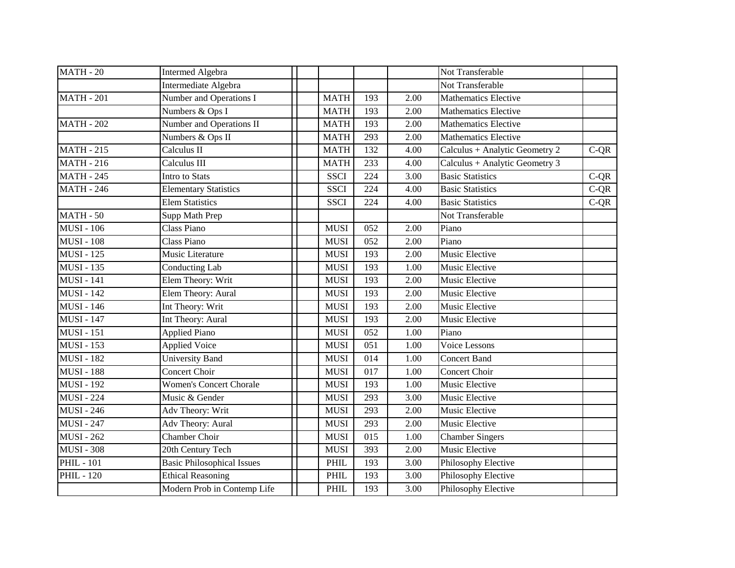| <b>MATH - 20</b>  | <b>Intermed Algebra</b>           |             |     |                   | Not Transferable               |        |
|-------------------|-----------------------------------|-------------|-----|-------------------|--------------------------------|--------|
|                   | Intermediate Algebra              |             |     |                   | Not Transferable               |        |
| <b>MATH - 201</b> | Number and Operations I           | <b>MATH</b> | 193 | 2.00              | <b>Mathematics Elective</b>    |        |
|                   | Numbers & Ops I                   | <b>MATH</b> | 193 | 2.00              | <b>Mathematics Elective</b>    |        |
| <b>MATH - 202</b> | Number and Operations II          | <b>MATH</b> | 193 | 2.00              | <b>Mathematics Elective</b>    |        |
|                   | Numbers & Ops II                  | <b>MATH</b> | 293 | 2.00              | <b>Mathematics Elective</b>    |        |
| <b>MATH - 215</b> | Calculus II                       | <b>MATH</b> | 132 | 4.00              | Calculus + Analytic Geometry 2 | $C-QR$ |
| <b>MATH - 216</b> | Calculus III                      | <b>MATH</b> | 233 | 4.00              | Calculus + Analytic Geometry 3 |        |
| <b>MATH - 245</b> | Intro to Stats                    | <b>SSCI</b> | 224 | 3.00              | <b>Basic Statistics</b>        | $C-QR$ |
| <b>MATH - 246</b> | <b>Elementary Statistics</b>      | <b>SSCI</b> | 224 | 4.00              | <b>Basic Statistics</b>        | $C-QR$ |
|                   | <b>Elem Statistics</b>            | <b>SSCI</b> | 224 | 4.00              | <b>Basic Statistics</b>        | $C-QR$ |
| <b>MATH - 50</b>  | Supp Math Prep                    |             |     |                   | Not Transferable               |        |
| <b>MUSI - 106</b> | Class Piano                       | <b>MUSI</b> | 052 | 2.00              | Piano                          |        |
| <b>MUSI - 108</b> | Class Piano                       | <b>MUSI</b> | 052 | 2.00              | Piano                          |        |
| <b>MUSI - 125</b> | Music Literature                  | <b>MUSI</b> | 193 | 2.00              | Music Elective                 |        |
| <b>MUSI - 135</b> | <b>Conducting Lab</b>             | <b>MUSI</b> | 193 | 1.00              | Music Elective                 |        |
| <b>MUSI - 141</b> | Elem Theory: Writ                 | <b>MUSI</b> | 193 | 2.00              | Music Elective                 |        |
| <b>MUSI - 142</b> | Elem Theory: Aural                | <b>MUSI</b> | 193 | 2.00              | Music Elective                 |        |
| <b>MUSI - 146</b> | Int Theory: Writ                  | <b>MUSI</b> | 193 | 2.00              | Music Elective                 |        |
| <b>MUSI - 147</b> | Int Theory: Aural                 | <b>MUSI</b> | 193 | 2.00              | Music Elective                 |        |
| <b>MUSI - 151</b> | <b>Applied Piano</b>              | <b>MUSI</b> | 052 | 1.00              | Piano                          |        |
| <b>MUSI - 153</b> | <b>Applied Voice</b>              | <b>MUSI</b> | 051 | 1.00              | <b>Voice Lessons</b>           |        |
| <b>MUSI - 182</b> | <b>University Band</b>            | <b>MUSI</b> | 014 | 1.00              | <b>Concert Band</b>            |        |
| <b>MUSI - 188</b> | <b>Concert Choir</b>              | <b>MUSI</b> | 017 | 1.00              | <b>Concert Choir</b>           |        |
| <b>MUSI - 192</b> | <b>Women's Concert Chorale</b>    | <b>MUSI</b> | 193 | 1.00              | Music Elective                 |        |
| <b>MUSI - 224</b> | Music & Gender                    | <b>MUSI</b> | 293 | 3.00              | Music Elective                 |        |
| <b>MUSI - 246</b> | Adv Theory: Writ                  | <b>MUSI</b> | 293 | 2.00              | Music Elective                 |        |
| <b>MUSI - 247</b> | Adv Theory: Aural                 | <b>MUSI</b> | 293 | 2.00              | Music Elective                 |        |
| <b>MUSI - 262</b> | Chamber Choir                     | <b>MUSI</b> | 015 | 1.00              | <b>Chamber Singers</b>         |        |
| <b>MUSI - 308</b> | 20th Century Tech                 | <b>MUSI</b> | 393 | 2.00              | Music Elective                 |        |
| <b>PHIL - 101</b> | <b>Basic Philosophical Issues</b> | PHIL        | 193 | 3.00              | Philosophy Elective            |        |
| <b>PHIL - 120</b> | <b>Ethical Reasoning</b>          | <b>PHIL</b> | 193 | 3.00              | Philosophy Elective            |        |
|                   | Modern Prob in Contemp Life       | PHIL        | 193 | $\overline{3.00}$ | Philosophy Elective            |        |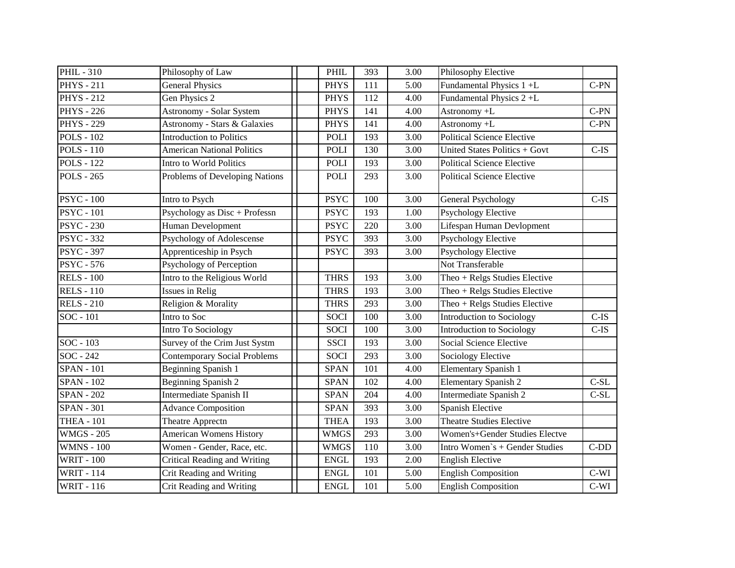| <b>PHIL-310</b>   | Philosophy of Law                   | PHIL        | 393            | 3.00 | Philosophy Elective               |         |
|-------------------|-------------------------------------|-------------|----------------|------|-----------------------------------|---------|
| <b>PHYS</b> - 211 | <b>General Physics</b>              | <b>PHYS</b> | 111            | 5.00 | Fundamental Physics 1+L           | $C-PN$  |
| <b>PHYS</b> - 212 | Gen Physics 2                       | <b>PHYS</b> | 112            | 4.00 | Fundamental Physics 2+L           |         |
| <b>PHYS</b> - 226 | <b>Astronomy - Solar System</b>     | <b>PHYS</b> | 141            | 4.00 | Astronomy +L                      | $C-PN$  |
| <b>PHYS - 229</b> | Astronomy - Stars & Galaxies        | <b>PHYS</b> | 141            | 4.00 | Astronomy +L                      | $C-PN$  |
| <b>POLS - 102</b> | <b>Introduction to Politics</b>     | <b>POLI</b> | 193            | 3.00 | <b>Political Science Elective</b> |         |
| <b>POLS - 110</b> | <b>American National Politics</b>   | <b>POLI</b> | 130            | 3.00 | United States Politics + Govt     | $C-IS$  |
| <b>POLS - 122</b> | Intro to World Politics             | <b>POLI</b> | 193            | 3.00 | <b>Political Science Elective</b> |         |
| <b>POLS - 265</b> | Problems of Developing Nations      | <b>POLI</b> | 293            | 3.00 | <b>Political Science Elective</b> |         |
| <b>PSYC</b> - 100 | Intro to Psych                      | <b>PSYC</b> | 100            | 3.00 | <b>General Psychology</b>         | $C$ -IS |
| <b>PSYC</b> - 101 | Psychology as Disc + Professn       | <b>PSYC</b> | 193            | 1.00 | <b>Psychology Elective</b>        |         |
| <b>PSYC - 230</b> | Human Development                   | <b>PSYC</b> | 220            | 3.00 | Lifespan Human Devlopment         |         |
| <b>PSYC - 332</b> | Psychology of Adolescense           | <b>PSYC</b> | 393            | 3.00 | <b>Psychology Elective</b>        |         |
| <b>PSYC - 397</b> | Apprenticeship in Psych             | <b>PSYC</b> | 393            | 3.00 | <b>Psychology Elective</b>        |         |
| <b>PSYC</b> - 576 | Psychology of Perception            |             |                |      | Not Transferable                  |         |
| <b>RELS - 100</b> | Intro to the Religious World        | <b>THRS</b> | 193            | 3.00 | Theo + Relgs Studies Elective     |         |
| <b>RELS-110</b>   | Issues in Relig                     | <b>THRS</b> | 193            | 3.00 | Theo + Relgs Studies Elective     |         |
| <b>RELS - 210</b> | Religion & Morality                 | <b>THRS</b> | 293            | 3.00 | Theo + Relgs Studies Elective     |         |
| SOC - 101         | Intro to Soc                        | <b>SOCI</b> | 100            | 3.00 | <b>Introduction to Sociology</b>  | $C-IS$  |
|                   | Intro To Sociology                  | <b>SOCI</b> | 100            | 3.00 | Introduction to Sociology         | $C$ -IS |
| SOC - 103         | Survey of the Crim Just Systm       | <b>SSCI</b> | 193            | 3.00 | <b>Social Science Elective</b>    |         |
| SOC - 242         | <b>Contemporary Social Problems</b> | <b>SOCI</b> | 293            | 3.00 | <b>Sociology Elective</b>         |         |
| <b>SPAN - 101</b> | Beginning Spanish 1                 | <b>SPAN</b> | 101            | 4.00 | <b>Elementary Spanish 1</b>       |         |
| <b>SPAN - 102</b> | Beginning Spanish 2                 | <b>SPAN</b> | 102            | 4.00 | <b>Elementary Spanish 2</b>       | $C-SL$  |
| <b>SPAN - 202</b> | Intermediate Spanish II             | <b>SPAN</b> | 204            | 4.00 | Intermediate Spanish 2            | $C-SL$  |
| <b>SPAN - 301</b> | <b>Advance Composition</b>          | <b>SPAN</b> | 393            | 3.00 | Spanish Elective                  |         |
| <b>THEA - 101</b> | Theatre Apprectn                    | <b>THEA</b> | 193            | 3.00 | <b>Theatre Studies Elective</b>   |         |
| <b>WMGS - 205</b> | <b>American Womens History</b>      | <b>WMGS</b> | 293            | 3.00 | Women's+Gender Studies Electve    |         |
| <b>WMNS - 100</b> | Women - Gender, Race, etc.          | <b>WMGS</b> | <sup>110</sup> | 3.00 | Intro Women's + Gender Studies    | $C-DD$  |
| <b>WRIT - 100</b> | <b>Critical Reading and Writing</b> | <b>ENGL</b> | 193            | 2.00 | <b>English Elective</b>           |         |
| <b>WRIT - 114</b> | Crit Reading and Writing            | <b>ENGL</b> | 101            | 5.00 | <b>English Composition</b>        | $C-WI$  |
| <b>WRIT - 116</b> | Crit Reading and Writing            | <b>ENGL</b> | 101            | 5.00 | <b>English Composition</b>        | $C-WI$  |